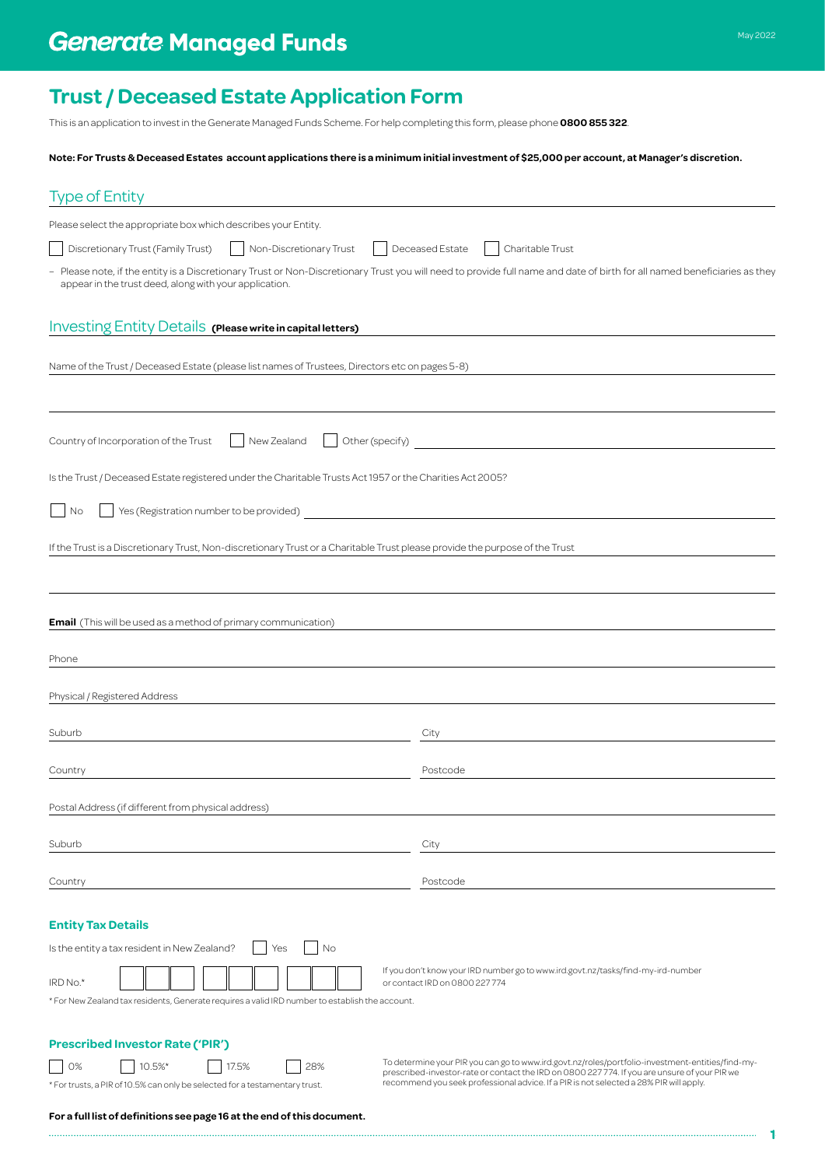This is an application to invest in the Generate Managed Funds Scheme. For help completing this form, please phone **0800 855 322**.

**Note: For Trusts & Deceased Estates account applications there is a minimum initial investment of \$25,000 per account, at Manager's discretion.**

| <b>Type of Entity</b>                                                                                                                                                                                                               |                                                                                                                                                                                                                                                                                             |  |  |  |  |
|-------------------------------------------------------------------------------------------------------------------------------------------------------------------------------------------------------------------------------------|---------------------------------------------------------------------------------------------------------------------------------------------------------------------------------------------------------------------------------------------------------------------------------------------|--|--|--|--|
| Please select the appropriate box which describes your Entity.                                                                                                                                                                      |                                                                                                                                                                                                                                                                                             |  |  |  |  |
| Discretionary Trust (Family Trust)<br>Non-Discretionary Trust<br>Deceased Estate<br>Charitable Trust                                                                                                                                |                                                                                                                                                                                                                                                                                             |  |  |  |  |
| - Please note, if the entity is a Discretionary Trust or Non-Discretionary Trust you will need to provide full name and date of birth for all named beneficiaries as they<br>appear in the trust deed, along with your application. |                                                                                                                                                                                                                                                                                             |  |  |  |  |
| Investing Entity Details (Please write in capital letters)                                                                                                                                                                          |                                                                                                                                                                                                                                                                                             |  |  |  |  |
| Name of the Trust / Deceased Estate (please list names of Trustees, Directors etc on pages 5-8)                                                                                                                                     |                                                                                                                                                                                                                                                                                             |  |  |  |  |
| Country of Incorporation of the Trust<br>New Zealand                                                                                                                                                                                | Other (specify)                                                                                                                                                                                                                                                                             |  |  |  |  |
| Is the Trust / Deceased Estate registered under the Charitable Trusts Act 1957 or the Charities Act 2005?                                                                                                                           |                                                                                                                                                                                                                                                                                             |  |  |  |  |
| No                                                                                                                                                                                                                                  |                                                                                                                                                                                                                                                                                             |  |  |  |  |
| If the Trust is a Discretionary Trust, Non-discretionary Trust or a Charitable Trust please provide the purpose of the Trust                                                                                                        |                                                                                                                                                                                                                                                                                             |  |  |  |  |
|                                                                                                                                                                                                                                     |                                                                                                                                                                                                                                                                                             |  |  |  |  |
| <b>Email</b> (This will be used as a method of primary communication)                                                                                                                                                               |                                                                                                                                                                                                                                                                                             |  |  |  |  |
| Phone                                                                                                                                                                                                                               |                                                                                                                                                                                                                                                                                             |  |  |  |  |
| Physical / Registered Address                                                                                                                                                                                                       |                                                                                                                                                                                                                                                                                             |  |  |  |  |
| Suburb                                                                                                                                                                                                                              | City                                                                                                                                                                                                                                                                                        |  |  |  |  |
| Country                                                                                                                                                                                                                             | Postcode                                                                                                                                                                                                                                                                                    |  |  |  |  |
| Postal Address (if different from physical address)                                                                                                                                                                                 |                                                                                                                                                                                                                                                                                             |  |  |  |  |
| Suburb                                                                                                                                                                                                                              | City                                                                                                                                                                                                                                                                                        |  |  |  |  |
| Country                                                                                                                                                                                                                             | Postcode                                                                                                                                                                                                                                                                                    |  |  |  |  |
| <b>Entity Tax Details</b>                                                                                                                                                                                                           |                                                                                                                                                                                                                                                                                             |  |  |  |  |
| Is the entity a tax resident in New Zealand?<br>No<br>Yes                                                                                                                                                                           |                                                                                                                                                                                                                                                                                             |  |  |  |  |
| IRD No.*<br>* For New Zealand tax residents, Generate requires a valid IRD number to establish the account.                                                                                                                         | If you don't know your IRD number go to www.ird.govt.nz/tasks/find-my-ird-number<br>or contact IRD on 0800 227 774                                                                                                                                                                          |  |  |  |  |
|                                                                                                                                                                                                                                     |                                                                                                                                                                                                                                                                                             |  |  |  |  |
| <b>Prescribed Investor Rate ('PIR')</b><br>0%<br>10.5%*<br>17.5%<br>28%<br>* For trusts, a PIR of 10.5% can only be selected for a testamentary trust.                                                                              | To determine your PIR you can go to www.ird.govt.nz/roles/portfolio-investment-entities/find-my-<br>prescribed-investor-rate or contact the IRD on 0800 227 774. If you are unsure of your PIR we<br>recommend you seek professional advice. If a PIR is not selected a 28% PIR will apply. |  |  |  |  |

**1**

**For a full list of definitions see page 16 at the end of this document.**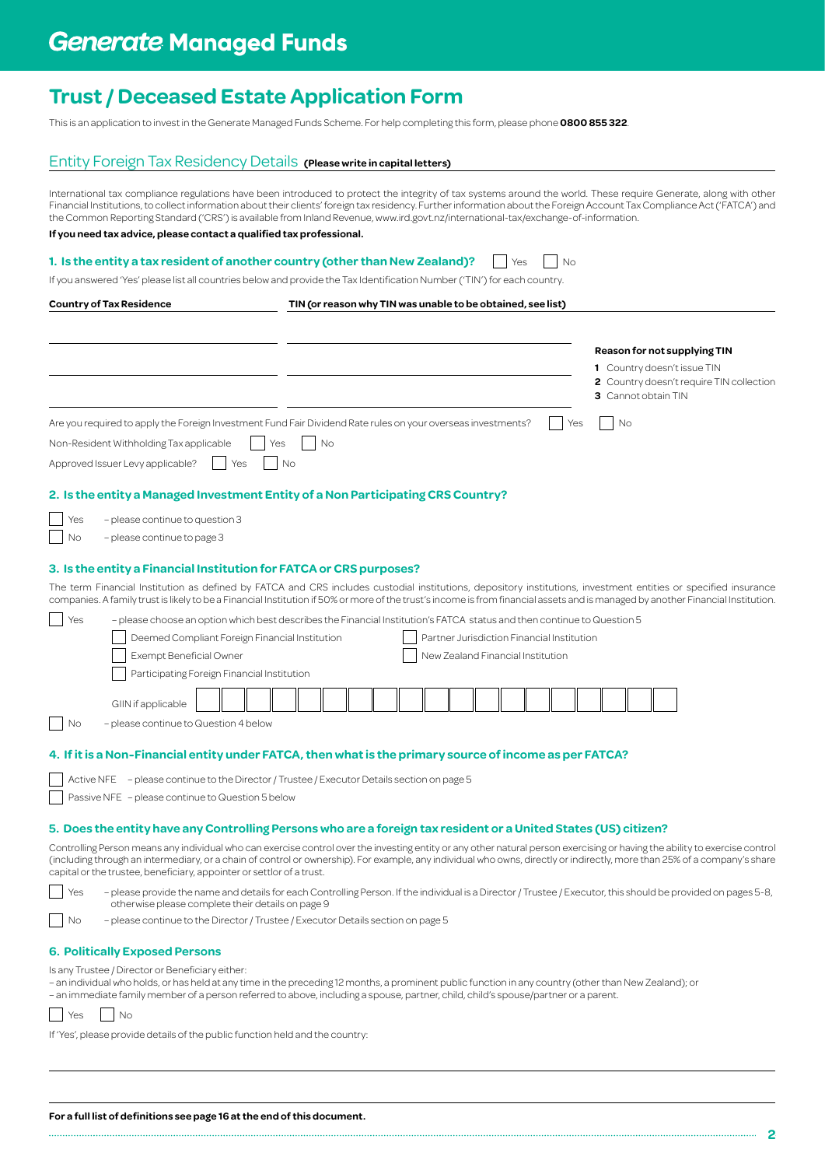## **Generate Managed Funds**

## **Trust / Deceased Estate Application Form**

This is an application to invest in the Generate Managed Funds Scheme. For help completing this form, please phone **0800 855 322**.

## Entity Foreign Tax Residency Details **(Please write in capital letters)**

International tax compliance regulations have been introduced to protect the integrity of tax systems around the world. These require Generate, along with other Financial Institutions, to collect information about their clients' foreign tax residency. Further information about the Foreign Account Tax Compliance Act ('FATCA') and the Common Reporting Standard ('CRS') is available from Inland Revenue, [www.ird.govt.nz/international-tax/exchange-of-information](http://www.ird.govt.nz/international-tax/exchange-of-information).

## **If you need tax advice, please contact a qualified tax professional.**

### **1. Is the entity a tax resident of another country (other than New Zealand)?**  $\Box$  Yes  $\Box$  No

If you answered 'Yes' please list all countries below and provide the Tax Identification Number ('TIN') for each country.

**Country of Tax Residence TIN (or reason why TIN was unable to be obtained, see list)**

|     |                                                                                                                                                                                                                                                                                                                                                          |     |                  |    |  |                                            |  |     |           | 3 Cannot obtain TIN | 1 Country doesn't issue TIN | <b>Reason for not supplying TIN</b> | 2 Country doesn't require TIN collection |
|-----|----------------------------------------------------------------------------------------------------------------------------------------------------------------------------------------------------------------------------------------------------------------------------------------------------------------------------------------------------------|-----|------------------|----|--|--------------------------------------------|--|-----|-----------|---------------------|-----------------------------|-------------------------------------|------------------------------------------|
|     | Are you required to apply the Foreign Investment Fund Fair Dividend Rate rules on your overseas investments?                                                                                                                                                                                                                                             |     |                  |    |  |                                            |  | Yes | <b>No</b> |                     |                             |                                     |                                          |
|     | Non-Resident Withholding Tax applicable<br>Approved Issuer Levy applicable?                                                                                                                                                                                                                                                                              | Yes | Yes<br><b>No</b> | No |  |                                            |  |     |           |                     |                             |                                     |                                          |
|     | 2. Is the entity a Managed Investment Entity of a Non Participating CRS Country?                                                                                                                                                                                                                                                                         |     |                  |    |  |                                            |  |     |           |                     |                             |                                     |                                          |
| Yes | - please continue to question 3                                                                                                                                                                                                                                                                                                                          |     |                  |    |  |                                            |  |     |           |                     |                             |                                     |                                          |
| No  | - please continue to page 3                                                                                                                                                                                                                                                                                                                              |     |                  |    |  |                                            |  |     |           |                     |                             |                                     |                                          |
|     |                                                                                                                                                                                                                                                                                                                                                          |     |                  |    |  |                                            |  |     |           |                     |                             |                                     |                                          |
|     | 3. Is the entity a Financial Institution for FATCA or CRS purposes?                                                                                                                                                                                                                                                                                      |     |                  |    |  |                                            |  |     |           |                     |                             |                                     |                                          |
|     | The term Financial Institution as defined by FATCA and CRS includes custodial institutions, depository institutions, investment entities or specified insurance<br>companies. A family trust is likely to be a Financial Institution if 50% or more of the trust's income is from financial assets and is managed by another Financial Institution.      |     |                  |    |  |                                            |  |     |           |                     |                             |                                     |                                          |
| Yes | - please choose an option which best describes the Financial Institution's FATCA status and then continue to Question 5                                                                                                                                                                                                                                  |     |                  |    |  |                                            |  |     |           |                     |                             |                                     |                                          |
|     | Deemed Compliant Foreign Financial Institution                                                                                                                                                                                                                                                                                                           |     |                  |    |  | Partner Jurisdiction Financial Institution |  |     |           |                     |                             |                                     |                                          |
|     | <b>Exempt Beneficial Owner</b>                                                                                                                                                                                                                                                                                                                           |     |                  |    |  | New Zealand Financial Institution          |  |     |           |                     |                             |                                     |                                          |
|     | Participating Foreign Financial Institution                                                                                                                                                                                                                                                                                                              |     |                  |    |  |                                            |  |     |           |                     |                             |                                     |                                          |
|     | GIIN if applicable                                                                                                                                                                                                                                                                                                                                       |     |                  |    |  |                                            |  |     |           |                     |                             |                                     |                                          |
| No  | - please continue to Question 4 below                                                                                                                                                                                                                                                                                                                    |     |                  |    |  |                                            |  |     |           |                     |                             |                                     |                                          |
|     |                                                                                                                                                                                                                                                                                                                                                          |     |                  |    |  |                                            |  |     |           |                     |                             |                                     |                                          |
|     | 4. If it is a Non-Financial entity under FATCA, then what is the primary source of income as per FATCA?                                                                                                                                                                                                                                                  |     |                  |    |  |                                            |  |     |           |                     |                             |                                     |                                          |
|     | Active NFE - please continue to the Director / Trustee / Executor Details section on page 5                                                                                                                                                                                                                                                              |     |                  |    |  |                                            |  |     |           |                     |                             |                                     |                                          |
|     | Passive NFE - please continue to Question 5 below                                                                                                                                                                                                                                                                                                        |     |                  |    |  |                                            |  |     |           |                     |                             |                                     |                                          |
|     | 5. Does the entity have any Controlling Persons who are a foreign tax resident or a United States (US) citizen?                                                                                                                                                                                                                                          |     |                  |    |  |                                            |  |     |           |                     |                             |                                     |                                          |
|     | Controlling Person means any individual who can exercise control over the investing entity or any other natural person exercising or having the ability to exercise control<br>(including through an intermediary, or a chain of control or ownership). For example, any individual who owns, directly or indirectly, more than 25% of a company's share |     |                  |    |  |                                            |  |     |           |                     |                             |                                     |                                          |
|     | capital or the trustee, beneficiary, appointer or settlor of a trust.                                                                                                                                                                                                                                                                                    |     |                  |    |  |                                            |  |     |           |                     |                             |                                     |                                          |
| Yes | - please provide the name and details for each Controlling Person. If the individual is a Director / Trustee / Executor, this should be provided on pages 5-8,<br>otherwise please complete their details on page 9                                                                                                                                      |     |                  |    |  |                                            |  |     |           |                     |                             |                                     |                                          |
| No  | - please continue to the Director / Trustee / Executor Details section on page 5                                                                                                                                                                                                                                                                         |     |                  |    |  |                                            |  |     |           |                     |                             |                                     |                                          |
|     | <b>6. Politically Exposed Persons</b>                                                                                                                                                                                                                                                                                                                    |     |                  |    |  |                                            |  |     |           |                     |                             |                                     |                                          |
|     | Is any Trustee / Director or Beneficiary either:<br>- an individual who holds, or has held at any time in the preceding 12 months, a prominent public function in any country (other than New Zealand); or<br>- an immediate family member of a person referred to above, including a spouse, partner, child, child's spouse/partner or a parent.        |     |                  |    |  |                                            |  |     |           |                     |                             |                                     |                                          |
| Yes | No                                                                                                                                                                                                                                                                                                                                                       |     |                  |    |  |                                            |  |     |           |                     |                             |                                     |                                          |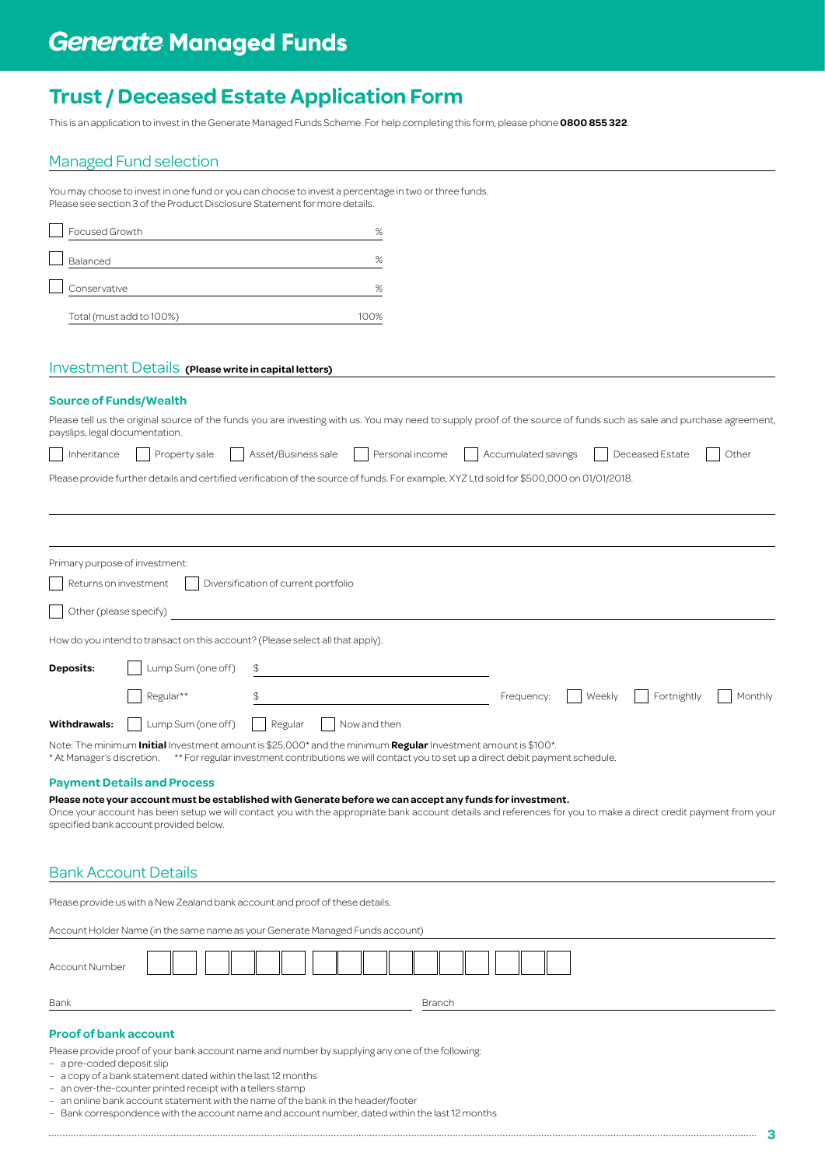This is an application to invest in the Generate Managed Funds Scheme. For help completing this form, please phone **0800 855 322**.

## Managed Fund selection

You may choose to invest in one fund or you can choose to invest a percentage in two or three funds. Please see section 3 of the Product Disclosure Statement for more details.

| Focused Growth           | %    |
|--------------------------|------|
| Balanced                 | %    |
| Conservative             | %    |
| Total (must add to 100%) | 100% |

## Investment Details **(Please write in capital letters)**

## **Source of Funds/Wealth**

| Please tell us the original source of the funds you are investing with us. You may need to supply proof of the source of funds such as sale and purchase agreement, |
|---------------------------------------------------------------------------------------------------------------------------------------------------------------------|
| payslips, legal documentation.                                                                                                                                      |

|  |  | Inheritance Property sale Asset/Business sale | Personal income | Accumulated savings   Deceased Estate |  | $\sim$ | Other |
|--|--|-----------------------------------------------|-----------------|---------------------------------------|--|--------|-------|
|  |  |                                               |                 |                                       |  |        |       |

| Please provide further details and certified verification of the source of funds. For example, XYZ Ltd sold for \$500,000 on 01/01/2018. |  |
|------------------------------------------------------------------------------------------------------------------------------------------|--|
|------------------------------------------------------------------------------------------------------------------------------------------|--|

| Primary purpose of investment:<br>Returns on investment                                                                                              |                    | Diversification of current portfolio |            |        |             |         |
|------------------------------------------------------------------------------------------------------------------------------------------------------|--------------------|--------------------------------------|------------|--------|-------------|---------|
| Other (please specify)                                                                                                                               |                    |                                      |            |        |             |         |
| How do you intend to transact on this account? (Please select all that apply).                                                                       |                    |                                      |            |        |             |         |
| <b>Deposits:</b>                                                                                                                                     | Lump Sum (one off) |                                      |            |        |             |         |
|                                                                                                                                                      | Regular**          |                                      | Frequency: | Weekly | Fortnightly | Monthly |
| Withdrawals:                                                                                                                                         | Lump Sum (one off) | Now and then<br>Regular              |            |        |             |         |
| Note: The minimum <b>Initial</b> Investment amount is \$25,000 <sup>*</sup> and the minimum <b>Regular</b> Investment amount is \$100 <sup>*</sup> . |                    |                                      |            |        |             |         |

\* At Manager's discretion. \*\* For regular investment contributions we will contact you to set up a direct debit payment schedule.

### **Payment Details and Process**

**Please note your account must be established with Generate before we can accept any funds for investment.**

Once your account has been setup we will contact you with the appropriate bank account details and references for you to make a direct credit payment from your specified bank account provided below.

## Bank Account Details

Please provide us with a New Zealand bank account and proof of these details.

Account Holder Name (in the same name as your Generate Managed Funds account) Account Number ſ ſ ſ Bank Branch Branch Branch Branch Branch Branch Branch Branch Branch Branch Branch Branch Branch Branch Branch

## **Proof of bank account**

Please provide proof of your bank account name and number by supplying any one of the following:

- a pre-coded deposit slip
- a copy of a bank statement dated within the last 12 months
- an over-the-counter printed receipt with a tellers stamp
- an online bank account statement with the name of the bank in the header/footer

– Bank correspondence with the account name and account number, dated within the last 12 months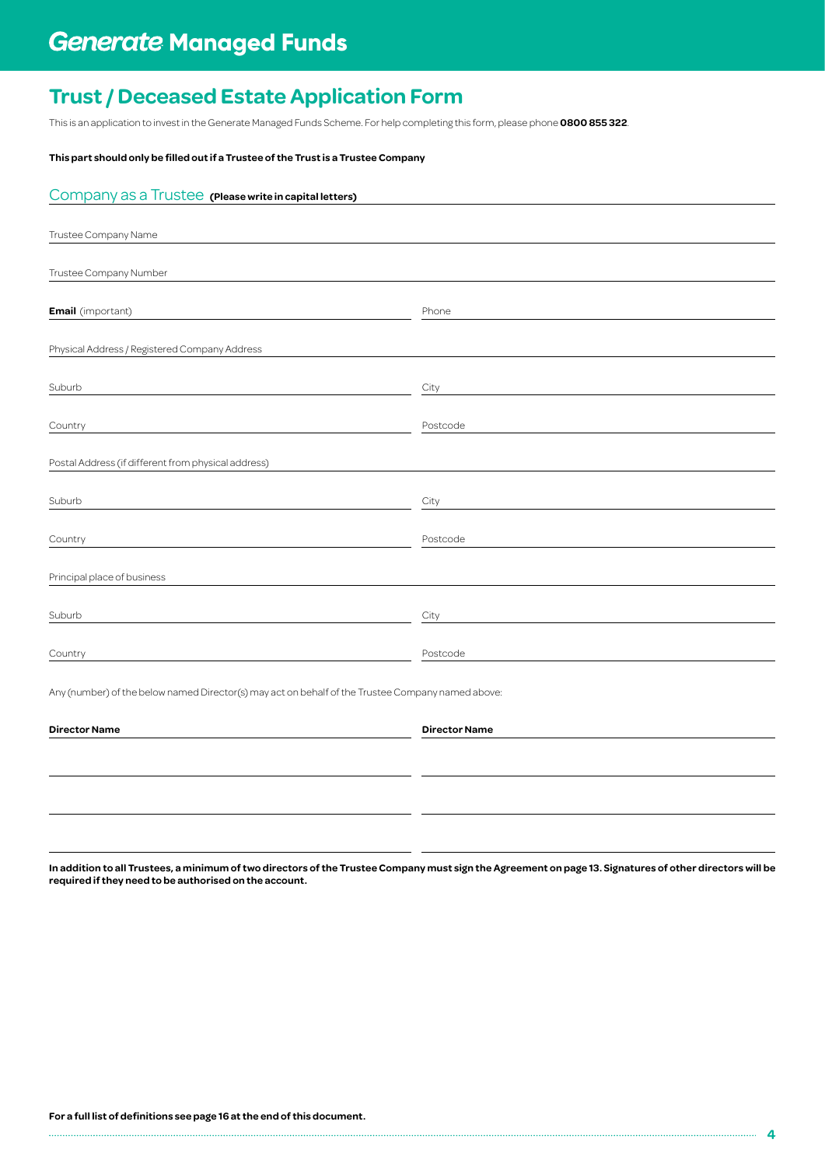This is an application to invest in the Generate Managed Funds Scheme. For help completing this form, please phone **0800 855 322**.

## **This part should only be filled out if a Trustee of the Trust is a Trustee Company**

| Company as a Trustee (Please write in capital letters)                                            |                      |
|---------------------------------------------------------------------------------------------------|----------------------|
|                                                                                                   |                      |
| Trustee Company Name                                                                              |                      |
|                                                                                                   |                      |
| Trustee Company Number                                                                            |                      |
|                                                                                                   |                      |
| <b>Email</b> (important)                                                                          | Phone                |
|                                                                                                   |                      |
| Physical Address / Registered Company Address                                                     |                      |
|                                                                                                   |                      |
| Suburb                                                                                            | City                 |
|                                                                                                   |                      |
| Country                                                                                           | Postcode             |
|                                                                                                   |                      |
| Postal Address (if different from physical address)                                               |                      |
| Suburb                                                                                            | City                 |
|                                                                                                   |                      |
| Country                                                                                           | Postcode             |
|                                                                                                   |                      |
| Principal place of business                                                                       |                      |
|                                                                                                   |                      |
| Suburb                                                                                            | City                 |
|                                                                                                   |                      |
| Country                                                                                           | Postcode             |
|                                                                                                   |                      |
| Any (number) of the below named Director(s) may act on behalf of the Trustee Company named above: |                      |
|                                                                                                   |                      |
| <b>Director Name</b>                                                                              | <b>Director Name</b> |
|                                                                                                   |                      |

**In addition to all Trustees, a minimum of two directors of the Trustee Company must sign the Agreement on page 13. Signatures of other directors will be required if they need to be authorised on the account.**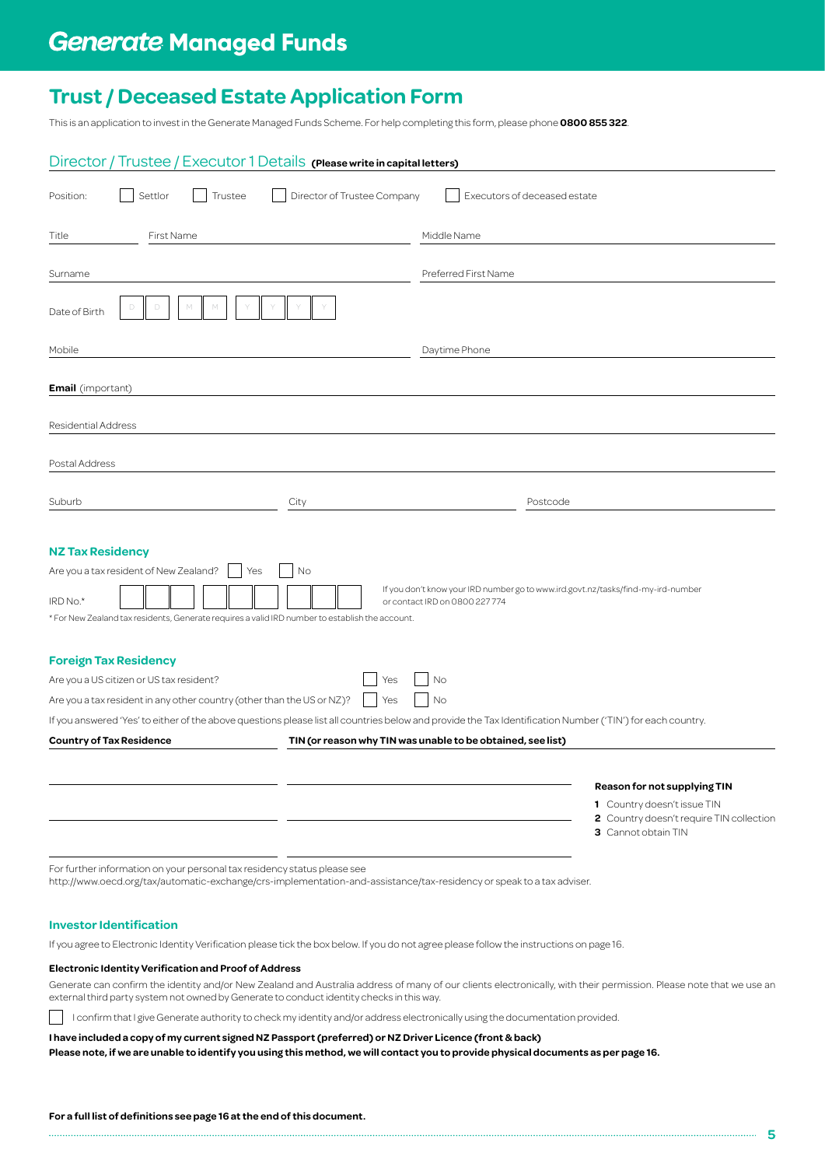This is an application to invest in the Generate Managed Funds Scheme. For help completing this form, please phone **0800 855 322**.

| Director / Trustee / Executor 1 Details (Please write in capital letters)                                                                                                                                                                                                                                                      |                                                                                                                                |
|--------------------------------------------------------------------------------------------------------------------------------------------------------------------------------------------------------------------------------------------------------------------------------------------------------------------------------|--------------------------------------------------------------------------------------------------------------------------------|
| Director of Trustee Company<br>Settlor<br>Trustee<br>Position:                                                                                                                                                                                                                                                                 | Executors of deceased estate                                                                                                   |
| First Name<br>Title                                                                                                                                                                                                                                                                                                            | Middle Name                                                                                                                    |
| Surname                                                                                                                                                                                                                                                                                                                        | Preferred First Name                                                                                                           |
| Date of Birth                                                                                                                                                                                                                                                                                                                  |                                                                                                                                |
| Mobile                                                                                                                                                                                                                                                                                                                         | Daytime Phone                                                                                                                  |
| <b>Email</b> (important)                                                                                                                                                                                                                                                                                                       |                                                                                                                                |
| <b>Residential Address</b>                                                                                                                                                                                                                                                                                                     |                                                                                                                                |
| Postal Address                                                                                                                                                                                                                                                                                                                 |                                                                                                                                |
|                                                                                                                                                                                                                                                                                                                                |                                                                                                                                |
| Suburb<br>City                                                                                                                                                                                                                                                                                                                 | Postcode                                                                                                                       |
| <b>NZ Tax Residency</b><br>Are you a tax resident of New Zealand?<br>Yes<br>No<br>IRD No.*<br>* For New Zealand tax residents, Generate requires a valid IRD number to establish the account.                                                                                                                                  | If you don't know your IRD number go to www.ird.govt.nz/tasks/find-my-ird-number<br>or contact IRD on 0800 227 774             |
| <b>Foreign Tax Residency</b><br>Are you a US citizen or US tax resident?<br>Yes<br>Are you a tax resident in any other country (other than the US or NZ)?<br>Yes<br>If you answered 'Yes' to either of the above questions please list all countries below and provide the Tax Identification Number ('TIN') for each country. | No<br>No                                                                                                                       |
| <b>Country of Tax Residence</b>                                                                                                                                                                                                                                                                                                | TIN (or reason why TIN was unable to be obtained, see list)                                                                    |
|                                                                                                                                                                                                                                                                                                                                | Reason for not supplying TIN<br>1 Country doesn't issue TIN<br>2 Country doesn't require TIN collection<br>3 Cannot obtain TIN |
| For further information on your personal tax residency status please see<br>http://www.oecd.org/tax/automatic-exchange/crs-implementation-and-assistance/tax-residency or speak to a tax adviser.                                                                                                                              |                                                                                                                                |

### **Investor Identification**

If you agree to Electronic Identity Verification please tick the box below. If you do not agree please follow the instructions on page 16.

### **Electronic Identity Verification and Proof of Address**

Generate can confirm the identity and/or New Zealand and Australia address of many of our clients electronically, with their permission. Please note that we use an external third party system not owned by Generate to conduct identity checks in this way.

 $\mathbf{L}$  I confirm that I give Generate authority to check my identity and/or address electronically using the documentation provided.

### **I have included a copy of my current signed NZ Passport (preferred) or NZ Driver Licence (front & back)**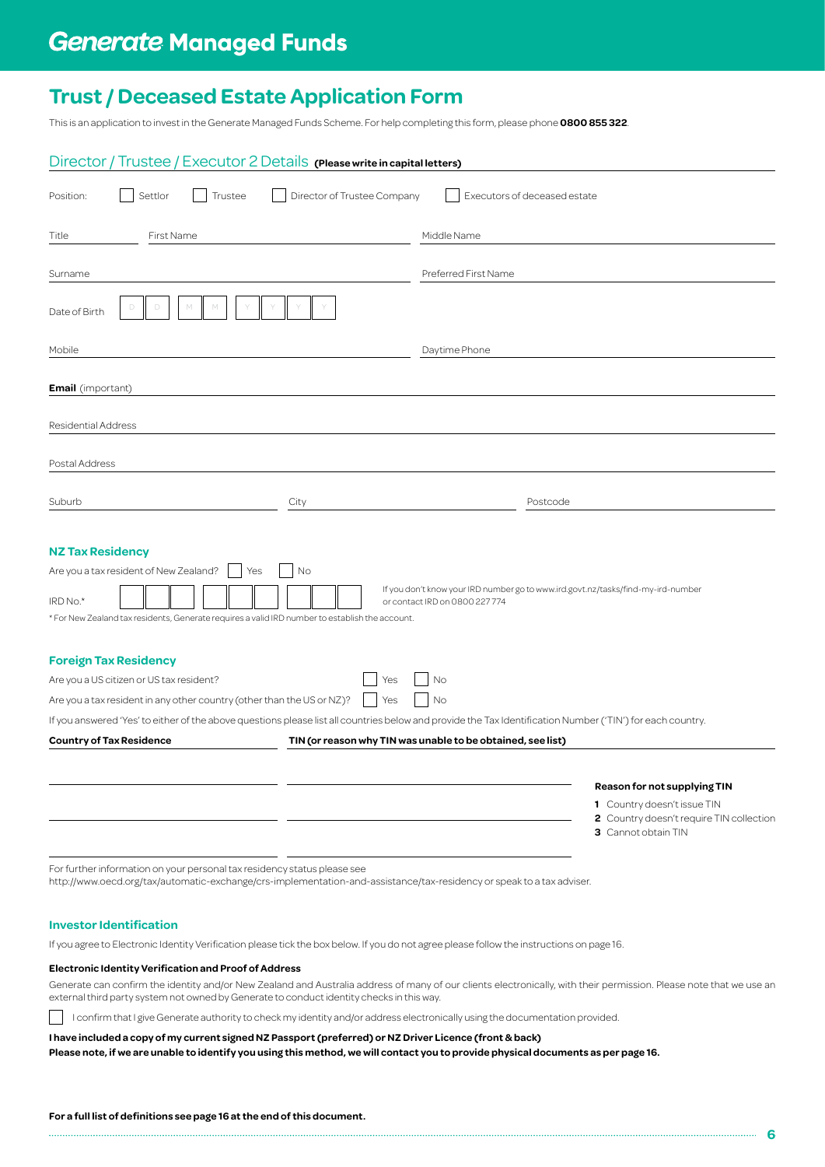This is an application to invest in the Generate Managed Funds Scheme. For help completing this form, please phone **0800 855 322**.

| Director / Trustee / Executor 2 Details (Please write in capital letters)                                                                                                                                                                                                                                                      |                                                                                                                                |
|--------------------------------------------------------------------------------------------------------------------------------------------------------------------------------------------------------------------------------------------------------------------------------------------------------------------------------|--------------------------------------------------------------------------------------------------------------------------------|
| Director of Trustee Company<br>Settlor<br>Trustee<br>Position:                                                                                                                                                                                                                                                                 | Executors of deceased estate                                                                                                   |
| First Name<br>Title                                                                                                                                                                                                                                                                                                            | Middle Name                                                                                                                    |
| Surname                                                                                                                                                                                                                                                                                                                        | Preferred First Name                                                                                                           |
| Date of Birth                                                                                                                                                                                                                                                                                                                  |                                                                                                                                |
| Mobile                                                                                                                                                                                                                                                                                                                         | Daytime Phone                                                                                                                  |
| <b>Email</b> (important)                                                                                                                                                                                                                                                                                                       |                                                                                                                                |
| <b>Residential Address</b>                                                                                                                                                                                                                                                                                                     |                                                                                                                                |
| Postal Address                                                                                                                                                                                                                                                                                                                 |                                                                                                                                |
|                                                                                                                                                                                                                                                                                                                                |                                                                                                                                |
| Suburb<br>City                                                                                                                                                                                                                                                                                                                 | Postcode                                                                                                                       |
| <b>NZ Tax Residency</b><br>Are you a tax resident of New Zealand?<br>Yes<br>No<br>IRD No.*<br>* For New Zealand tax residents, Generate requires a valid IRD number to establish the account.                                                                                                                                  | If you don't know your IRD number go to www.ird.govt.nz/tasks/find-my-ird-number<br>or contact IRD on 0800 227 774             |
| <b>Foreign Tax Residency</b><br>Are you a US citizen or US tax resident?<br>Yes<br>Are you a tax resident in any other country (other than the US or NZ)?<br>Yes<br>If you answered 'Yes' to either of the above questions please list all countries below and provide the Tax Identification Number ('TIN') for each country. | No<br>No                                                                                                                       |
| <b>Country of Tax Residence</b>                                                                                                                                                                                                                                                                                                | TIN (or reason why TIN was unable to be obtained, see list)                                                                    |
|                                                                                                                                                                                                                                                                                                                                | Reason for not supplying TIN<br>1 Country doesn't issue TIN<br>2 Country doesn't require TIN collection<br>3 Cannot obtain TIN |
| For further information on your personal tax residency status please see<br>http://www.oecd.org/tax/automatic-exchange/crs-implementation-and-assistance/tax-residency or speak to a tax adviser.                                                                                                                              |                                                                                                                                |

### **Investor Identification**

If you agree to Electronic Identity Verification please tick the box below. If you do not agree please follow the instructions on page 16.

### **Electronic Identity Verification and Proof of Address**

Generate can confirm the identity and/or New Zealand and Australia address of many of our clients electronically, with their permission. Please note that we use an external third party system not owned by Generate to conduct identity checks in this way.

 $\mathbf{L}$  I confirm that I give Generate authority to check my identity and/or address electronically using the documentation provided.

### **I have included a copy of my current signed NZ Passport (preferred) or NZ Driver Licence (front & back)**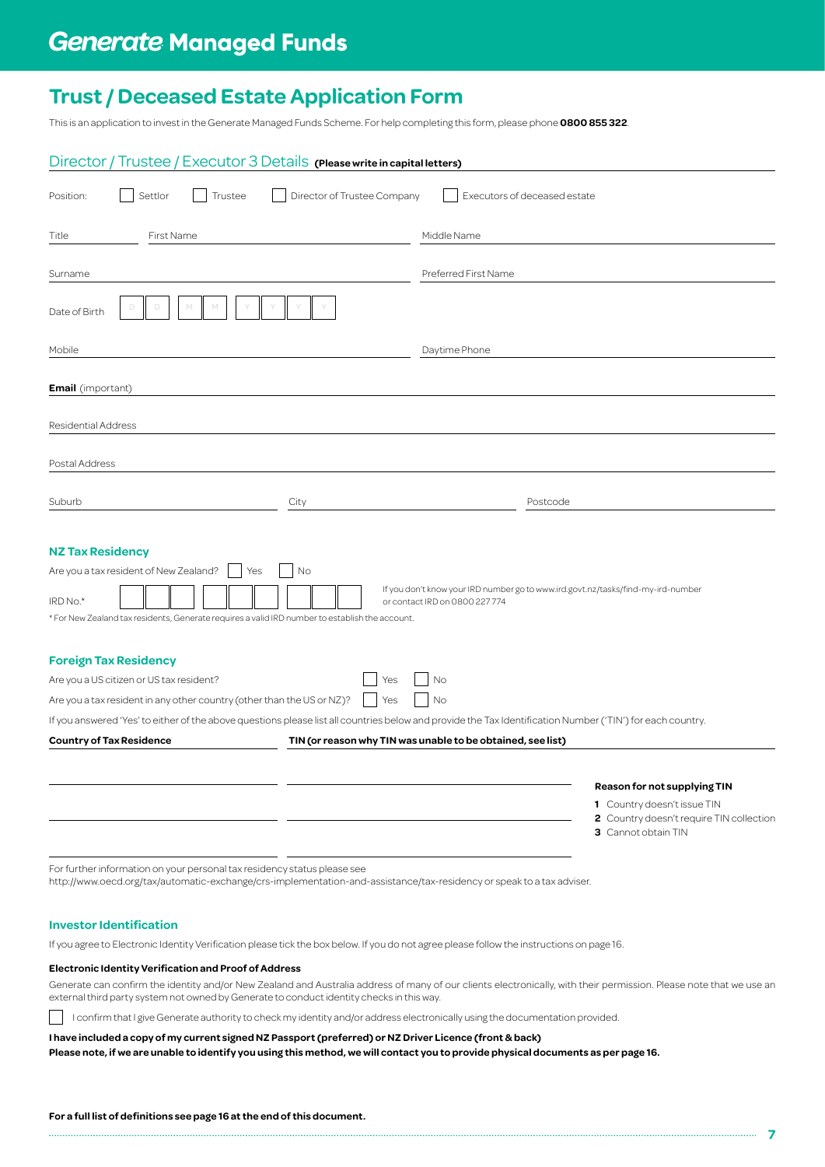This is an application to invest in the Generate Managed Funds Scheme. For help completing this form, please phone **0800 855 322**.

| Director / Trustee / Executor 3 Details (Please write in capital letters)                                                                                                                         |                                                                                                                                |
|---------------------------------------------------------------------------------------------------------------------------------------------------------------------------------------------------|--------------------------------------------------------------------------------------------------------------------------------|
| Settlor<br>Trustee<br>Director of Trustee Company<br>Position:                                                                                                                                    | Executors of deceased estate                                                                                                   |
| First Name<br>Title                                                                                                                                                                               | Middle Name                                                                                                                    |
| Surname                                                                                                                                                                                           | Preferred First Name                                                                                                           |
| Date of Birth                                                                                                                                                                                     |                                                                                                                                |
| Mobile                                                                                                                                                                                            | Daytime Phone                                                                                                                  |
| <b>Email</b> (important)                                                                                                                                                                          |                                                                                                                                |
| <b>Residential Address</b>                                                                                                                                                                        |                                                                                                                                |
| Postal Address                                                                                                                                                                                    |                                                                                                                                |
| Suburb                                                                                                                                                                                            | Postcode                                                                                                                       |
| City                                                                                                                                                                                              |                                                                                                                                |
| <b>NZ Tax Residency</b><br>Are you a tax resident of New Zealand?<br>No<br>Yes<br>IRD No.*<br>* For New Zealand tax residents, Generate requires a valid IRD number to establish the account.     | If you don't know your IRD number go to www.ird.govt.nz/tasks/find-my-ird-number<br>or contact IRD on 0800 227 774             |
| <b>Foreign Tax Residency</b><br>Are you a US citizen or US tax resident?<br>Yes<br>Are you a tax resident in any other country (other than the US or NZ)?<br>Yes                                  | No<br>No                                                                                                                       |
| If you answered 'Yes' to either of the above questions please list all countries below and provide the Tax Identification Number ('TIN') for each country.<br><b>Country of Tax Residence</b>     | TIN (or reason why TIN was unable to be obtained, see list)                                                                    |
|                                                                                                                                                                                                   | Reason for not supplying TIN<br>1 Country doesn't issue TIN<br>2 Country doesn't require TIN collection<br>3 Cannot obtain TIN |
| For further information on your personal tax residency status please see<br>http://www.oecd.org/tax/automatic-exchange/crs-implementation-and-assistance/tax-residency or speak to a tax adviser. |                                                                                                                                |

### **Investor Identification**

If you agree to Electronic Identity Verification please tick the box below. If you do not agree please follow the instructions on page 16.

#### **Electronic Identity Verification and Proof of Address**

Generate can confirm the identity and/or New Zealand and Australia address of many of our clients electronically, with their permission. Please note that we use an external third party system not owned by Generate to conduct identity checks in this way.

**7**

 $\mathbf{L}$  I confirm that I give Generate authority to check my identity and/or address electronically using the documentation provided.

### **I have included a copy of my current signed NZ Passport (preferred) or NZ Driver Licence (front & back)**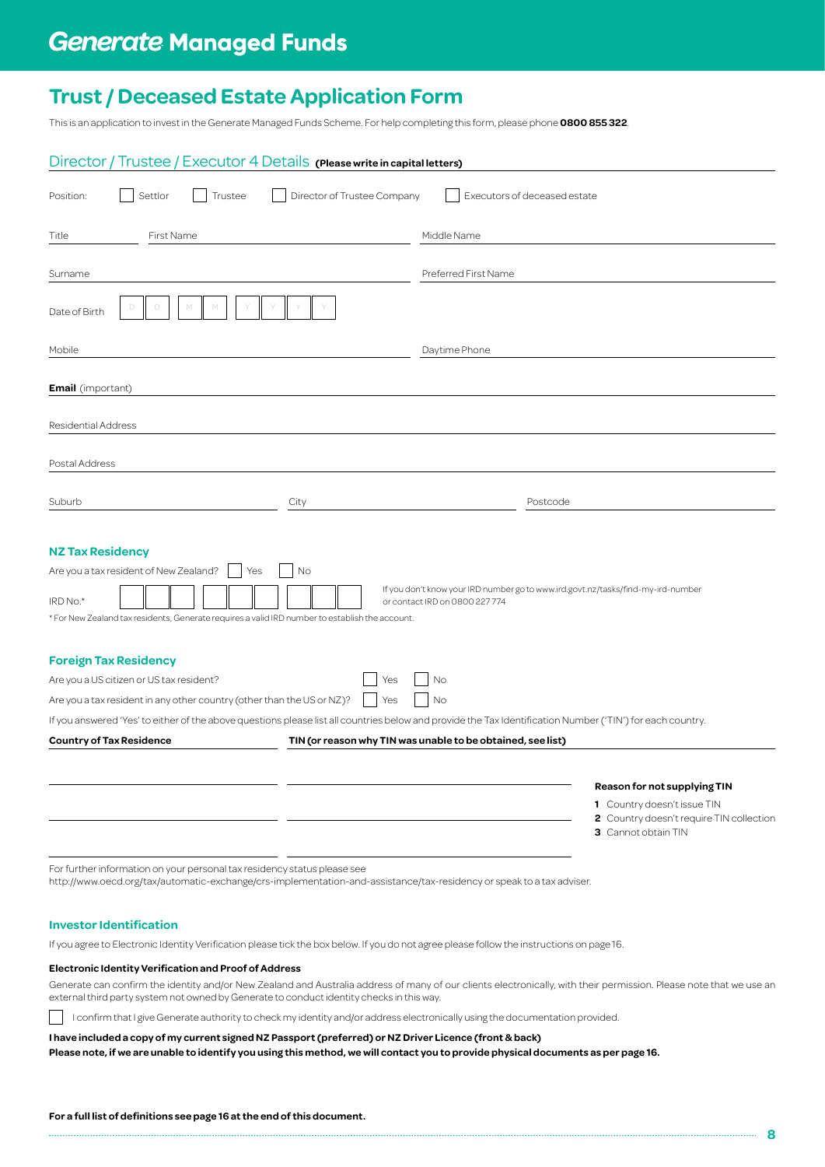This is an application to invest in the Generate Managed Funds Scheme. For help completing this form, please phone **0800 855 322**.

| Director / Trustee / Executor 4 Details (Please write in capital letters)                                                                                                                         |                                                                                                                                |
|---------------------------------------------------------------------------------------------------------------------------------------------------------------------------------------------------|--------------------------------------------------------------------------------------------------------------------------------|
| Settlor<br>Trustee<br>Director of Trustee Company<br>Position:                                                                                                                                    | Executors of deceased estate                                                                                                   |
| First Name<br>Title                                                                                                                                                                               | Middle Name                                                                                                                    |
| Surname                                                                                                                                                                                           | Preferred First Name                                                                                                           |
| Date of Birth                                                                                                                                                                                     |                                                                                                                                |
| Mobile                                                                                                                                                                                            | Daytime Phone                                                                                                                  |
| <b>Email</b> (important)                                                                                                                                                                          |                                                                                                                                |
| <b>Residential Address</b>                                                                                                                                                                        |                                                                                                                                |
| Postal Address                                                                                                                                                                                    |                                                                                                                                |
| Suburb                                                                                                                                                                                            | Postcode                                                                                                                       |
| City                                                                                                                                                                                              |                                                                                                                                |
| <b>NZ Tax Residency</b><br>Are you a tax resident of New Zealand?<br>No<br>Yes<br>IRD No.*<br>* For New Zealand tax residents, Generate requires a valid IRD number to establish the account.     | If you don't know your IRD number go to www.ird.govt.nz/tasks/find-my-ird-number<br>or contact IRD on 0800 227 774             |
| <b>Foreign Tax Residency</b><br>Are you a US citizen or US tax resident?<br>Yes<br>Are you a tax resident in any other country (other than the US or NZ)?<br>Yes                                  | No<br>No                                                                                                                       |
| If you answered 'Yes' to either of the above questions please list all countries below and provide the Tax Identification Number ('TIN') for each country.                                        |                                                                                                                                |
| <b>Country of Tax Residence</b>                                                                                                                                                                   | TIN (or reason why TIN was unable to be obtained, see list)                                                                    |
|                                                                                                                                                                                                   | Reason for not supplying TIN<br>1 Country doesn't issue TIN<br>2 Country doesn't require TIN collection<br>3 Cannot obtain TIN |
| For further information on your personal tax residency status please see<br>http://www.oecd.org/tax/automatic-exchange/crs-implementation-and-assistance/tax-residency or speak to a tax adviser. |                                                                                                                                |

### **Investor Identification**

If you agree to Electronic Identity Verification please tick the box below. If you do not agree please follow the instructions on page 16.

#### **Electronic Identity Verification and Proof of Address**

Generate can confirm the identity and/or New Zealand and Australia address of many of our clients electronically, with their permission. Please note that we use an external third party system not owned by Generate to conduct identity checks in this way.

 $\mathbf{L}$  I confirm that I give Generate authority to check my identity and/or address electronically using the documentation provided.

### **I have included a copy of my current signed NZ Passport (preferred) or NZ Driver Licence (front & back)**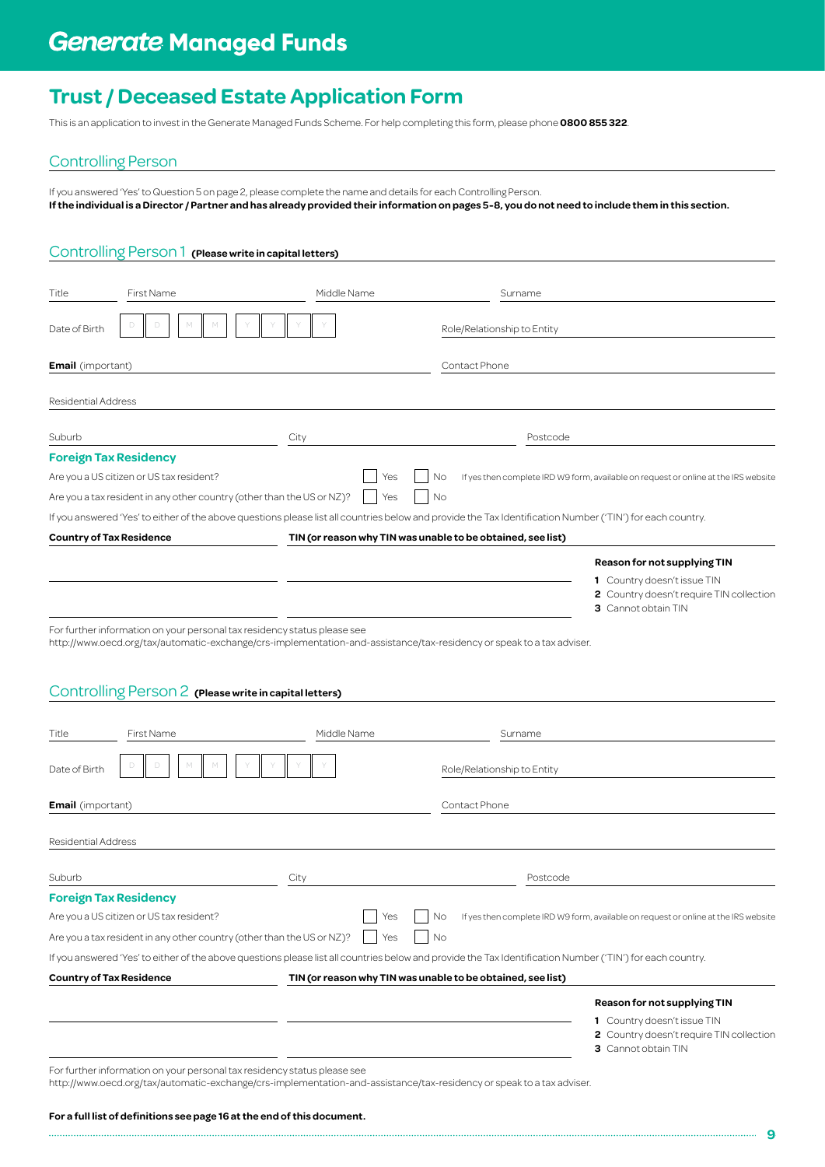This is an application to invest in the Generate Managed Funds Scheme. For help completing this form, please phone **0800 855 322**.

## Controlling Person

If you answered 'Yes' to Question 5 on page 2, please complete the name and details for each Controlling Person. **If the individual is a Director / Partner and has already provided their information on pages 5-8, you do not need to include them in this section.**

## Controlling Person 1 **(Please write in capital letters)**

| Title                    | First Name                                                               | Middle Name                                                                                                           | Surname                                                     |                                                                                                                                                            |
|--------------------------|--------------------------------------------------------------------------|-----------------------------------------------------------------------------------------------------------------------|-------------------------------------------------------------|------------------------------------------------------------------------------------------------------------------------------------------------------------|
| Date of Birth            |                                                                          |                                                                                                                       | Role/Relationship to Entity                                 |                                                                                                                                                            |
| <b>Email</b> (important) |                                                                          |                                                                                                                       | Contact Phone                                               |                                                                                                                                                            |
|                          |                                                                          |                                                                                                                       |                                                             |                                                                                                                                                            |
| Residential Address      |                                                                          |                                                                                                                       |                                                             |                                                                                                                                                            |
| Suburb                   |                                                                          | City                                                                                                                  |                                                             | Postcode                                                                                                                                                   |
|                          | <b>Foreign Tax Residency</b>                                             |                                                                                                                       |                                                             |                                                                                                                                                            |
|                          | Are you a US citizen or US tax resident?                                 | Yes                                                                                                                   | No                                                          | If yes then complete IRD W9 form, available on request or online at the IRS website                                                                        |
|                          | Are you a tax resident in any other country (other than the US or NZ)?   | Yes                                                                                                                   | No                                                          |                                                                                                                                                            |
|                          |                                                                          |                                                                                                                       |                                                             | If you answered 'Yes' to either of the above questions please list all countries below and provide the Tax Identification Number ('TIN') for each country. |
|                          | <b>Country of Tax Residence</b>                                          |                                                                                                                       | TIN (or reason why TIN was unable to be obtained, see list) |                                                                                                                                                            |
|                          |                                                                          |                                                                                                                       |                                                             | <b>Reason for not supplying TIN</b>                                                                                                                        |
|                          |                                                                          |                                                                                                                       |                                                             | 1 Country doesn't issue TIN<br>2 Country doesn't require TIN collection                                                                                    |
|                          |                                                                          |                                                                                                                       |                                                             | 3 Cannot obtain TIN                                                                                                                                        |
|                          | For further information on your personal tax residency status please see | http://www.oecd.org/tax/automatic-exchange/crs-implementation-and-assistance/tax-residency or speak to a tax adviser. |                                                             |                                                                                                                                                            |
|                          |                                                                          |                                                                                                                       |                                                             |                                                                                                                                                            |
|                          |                                                                          |                                                                                                                       |                                                             |                                                                                                                                                            |
|                          | Controlling Person 2 (Please write in capital letters)                   |                                                                                                                       |                                                             |                                                                                                                                                            |
| Title                    | <b>First Name</b>                                                        | Middle Name                                                                                                           | Surname                                                     |                                                                                                                                                            |
|                          |                                                                          |                                                                                                                       |                                                             |                                                                                                                                                            |
| Date of Birth            |                                                                          |                                                                                                                       | Role/Relationship to Entity                                 |                                                                                                                                                            |
|                          |                                                                          |                                                                                                                       |                                                             |                                                                                                                                                            |
| <b>Email</b> (important) |                                                                          |                                                                                                                       | Contact Phone                                               |                                                                                                                                                            |
|                          |                                                                          |                                                                                                                       |                                                             |                                                                                                                                                            |
| Residential Address      |                                                                          |                                                                                                                       |                                                             |                                                                                                                                                            |
| Suburb                   |                                                                          | City                                                                                                                  |                                                             | Postcode                                                                                                                                                   |
|                          | <b>Foreign Tax Residency</b>                                             |                                                                                                                       |                                                             |                                                                                                                                                            |
|                          | Are you a US citizen or US tax resident?                                 | Yes                                                                                                                   | No                                                          | If yes then complete IRD W9 form, available on request or online at the IRS website                                                                        |
|                          | Are you a tax resident in any other country (other than the US or NZ)?   | Yes                                                                                                                   | No                                                          |                                                                                                                                                            |
|                          |                                                                          |                                                                                                                       |                                                             | If you answered 'Yes' to either of the above questions please list all countries below and provide the Tax Identification Number ('TIN') for each country. |
|                          | Country of Tax Residence                                                 |                                                                                                                       | TIN (or reason why TIN was unable to be obtained, see list) |                                                                                                                                                            |
|                          |                                                                          |                                                                                                                       |                                                             | <b>Reason for not supplying TIN</b>                                                                                                                        |
|                          |                                                                          |                                                                                                                       |                                                             | 1 Country doesn't issue TIN                                                                                                                                |
|                          |                                                                          |                                                                                                                       |                                                             | 2 Country doesn't require TIN collection                                                                                                                   |

**3** Cannot obtain TIN

For further information on your personal tax residency status please see

<http://www.oecd.org/tax/automatic-exchange/crs-implementation-and-assistance/tax-residency> or speak to a tax adviser.

### **For a full list of definitions see page 16 at the end of this document.**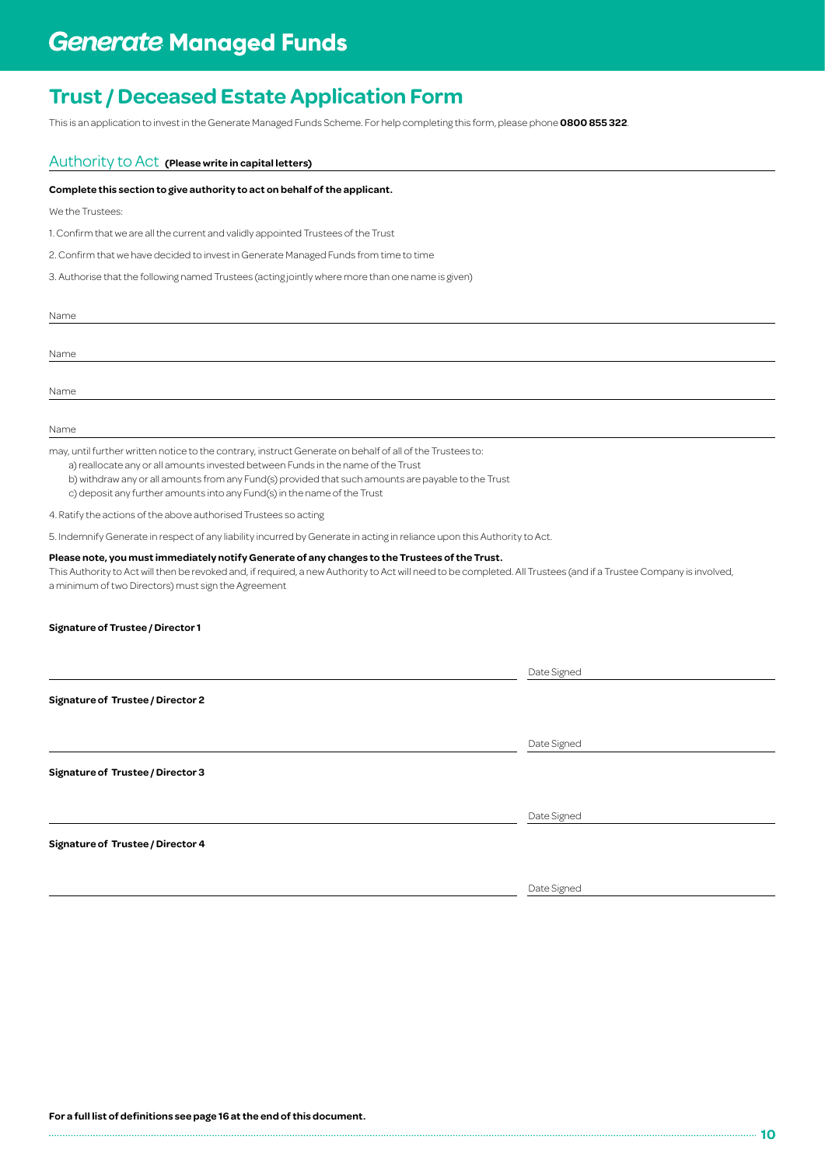This is an application to invest in the Generate Managed Funds Scheme. For help completing this form, please phone **0800 855 322**.

## Authority to Act **(Please write in capital letters)**

### **Complete this section to give authority to act on behalf of the applicant.**

We the Trustees:

1. Confirm that we are all the current and validly appointed Trustees of the Trust

2. Confirm that we have decided to invest in Generate Managed Funds from time to time

3. Authorise that the following named Trustees (acting jointly where more than one name is given)

| Name |  |  |
|------|--|--|
|      |  |  |
| Name |  |  |
|      |  |  |
| Name |  |  |

Name

may, until further written notice to the contrary, instruct Generate on behalf of all of the Trustees to:

a) reallocate any or all amounts invested between Funds in the name of the Trust

b) withdraw any or all amounts from any Fund(s) provided that such amounts are payable to the Trust

c) deposit any further amounts into any Fund(s) in the name of the Trust

4. Ratify the actions of the above authorised Trustees so acting

5. Indemnify Generate in respect of any liability incurred by Generate in acting in reliance upon this Authority to Act.

#### **Please note, you must immediately notify Generate of any changes to the Trustees of the Trust.**

This Authority to Act will then be revoked and, if required, a new Authority to Act will need to be completed. All Trustees (and if a Trustee Company is involved, a minimum of two Directors) must sign the Agreement

### **Signature of Trustee / Director 1**

|                                          | Date Signed |  |
|------------------------------------------|-------------|--|
| <b>Signature of Trustee / Director 2</b> |             |  |
|                                          | Date Signed |  |
| <b>Signature of Trustee / Director 3</b> |             |  |
|                                          | Date Signed |  |
| <b>Signature of Trustee / Director 4</b> |             |  |

Date Signed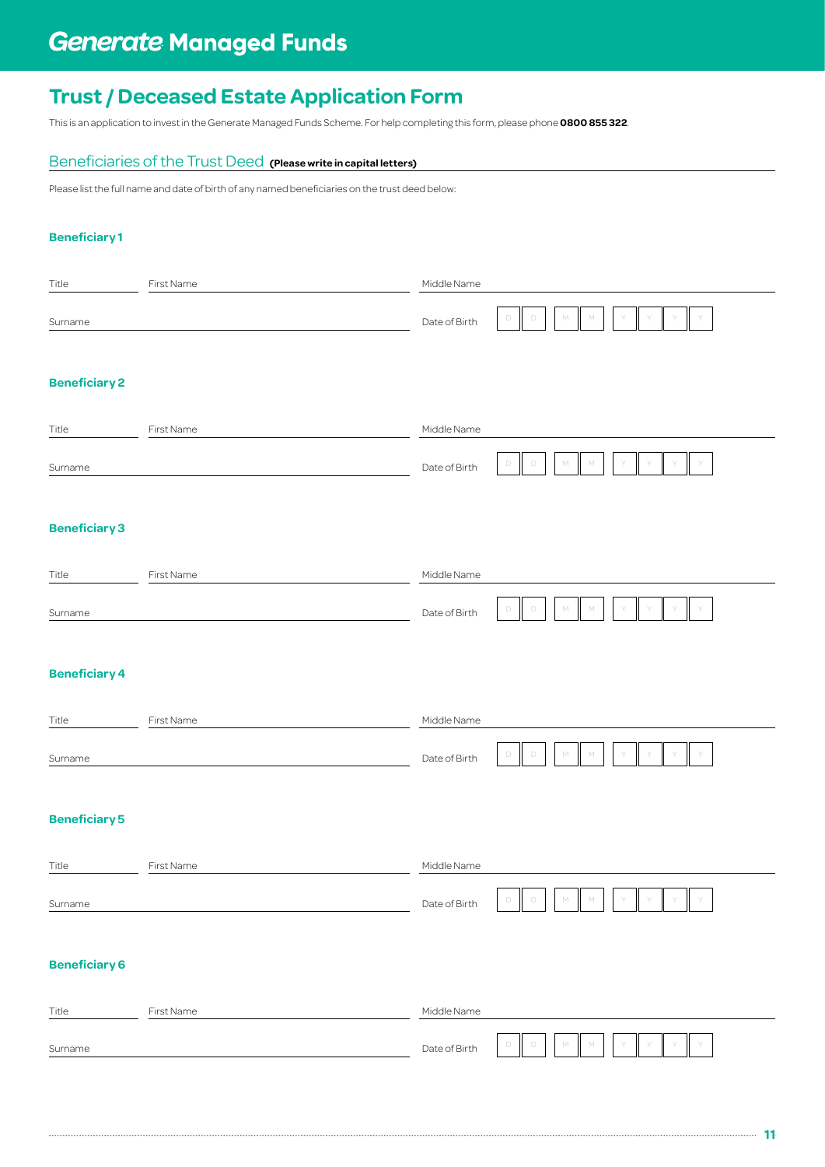# **Generate Managed Funds**

## **Trust / Deceased Estate Application Form**

This is an application to invest in the Generate Managed Funds Scheme. For help completing this form, please phone **0800 855 322**.

## Beneficiaries of the Trust Deed **(Please write in capital letters)**

Please list the full name and date of birth of any named beneficiaries on the trust deed below:

## **Beneficiary 1**

| Title                | First Name | Middle Name   |                                                       |
|----------------------|------------|---------------|-------------------------------------------------------|
| Surname              |            | Date of Birth | $\Box$<br>М<br>$\mathbb{M}$<br>D                      |
| <b>Beneficiary 2</b> |            |               |                                                       |
| Title                | First Name | Middle Name   |                                                       |
| Surname              |            | Date of Birth | D<br>М<br>D                                           |
| <b>Beneficiary 3</b> |            |               |                                                       |
| Title                | First Name | Middle Name   |                                                       |
| Surname              |            | Date of Birth | М<br>D<br>M                                           |
| <b>Beneficiary 4</b> |            |               |                                                       |
| Title                | First Name | Middle Name   |                                                       |
| Surname              |            | Date of Birth | $\Box$<br>$\Box$<br>$\mathbb{M}$<br>$\mathsf{M}$      |
| <b>Beneficiary 5</b> |            |               |                                                       |
| Title                | First Name | Middle Name   |                                                       |
| Surname              |            | Date of Birth | $\Box$<br>$\Box$<br>$\mathbb M$<br>${\mathbb M}$<br>Y |
| <b>Beneficiary 6</b> |            |               |                                                       |
| Title                | First Name | Middle Name   |                                                       |
| Surname              |            | Date of Birth | $\Box$<br>$\mathbb{M}$<br>D<br>М                      |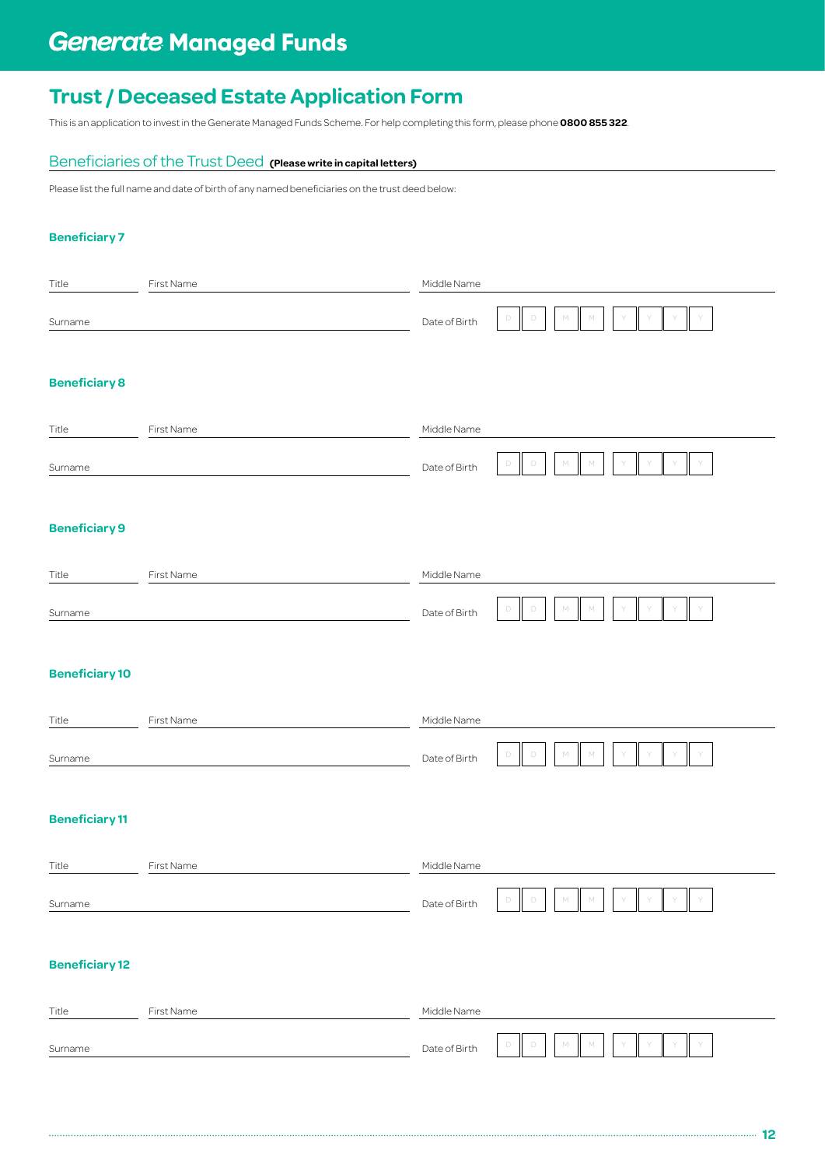# **Generate Managed Funds**

## **Trust / Deceased Estate Application Form**

This is an application to invest in the Generate Managed Funds Scheme. For help completing this form, please phone **0800 855 322**.

## Beneficiaries of the Trust Deed **(Please write in capital letters)**

Please list the full name and date of birth of any named beneficiaries on the trust deed below:

## **Beneficiary 7**

| Title                 | First Name | Middle Name   |                                                        |
|-----------------------|------------|---------------|--------------------------------------------------------|
| Surname               |            | Date of Birth | М<br>$\Box$<br>D<br>М                                  |
| <b>Beneficiary 8</b>  |            |               |                                                        |
| Title                 | First Name | Middle Name   |                                                        |
| Surname               |            | Date of Birth | D<br>М                                                 |
| <b>Beneficiary 9</b>  |            |               |                                                        |
| Title                 | First Name | Middle Name   |                                                        |
| Surname               |            | Date of Birth | М<br>$\mathbb{M}$<br>D<br>D                            |
| <b>Beneficiary 10</b> |            |               |                                                        |
| Title                 | First Name | Middle Name   |                                                        |
| Surname               |            | Date of Birth | $\mathbb{M}$<br>$\Box$<br>$\mathbb{M}$<br>D            |
| <b>Beneficiary 11</b> |            |               |                                                        |
| Title                 | First Name | Middle Name   |                                                        |
| Surname               |            | Date of Birth | $\mathbb{M}$<br>$\Box$<br>$\Box$<br>${\mathbb M}$<br>Y |
| <b>Beneficiary 12</b> |            |               |                                                        |
| Title                 | First Name | Middle Name   |                                                        |
| Surname               |            | Date of Birth | $\mathbb{M}$<br>$\Box$<br>$\Box$<br>М                  |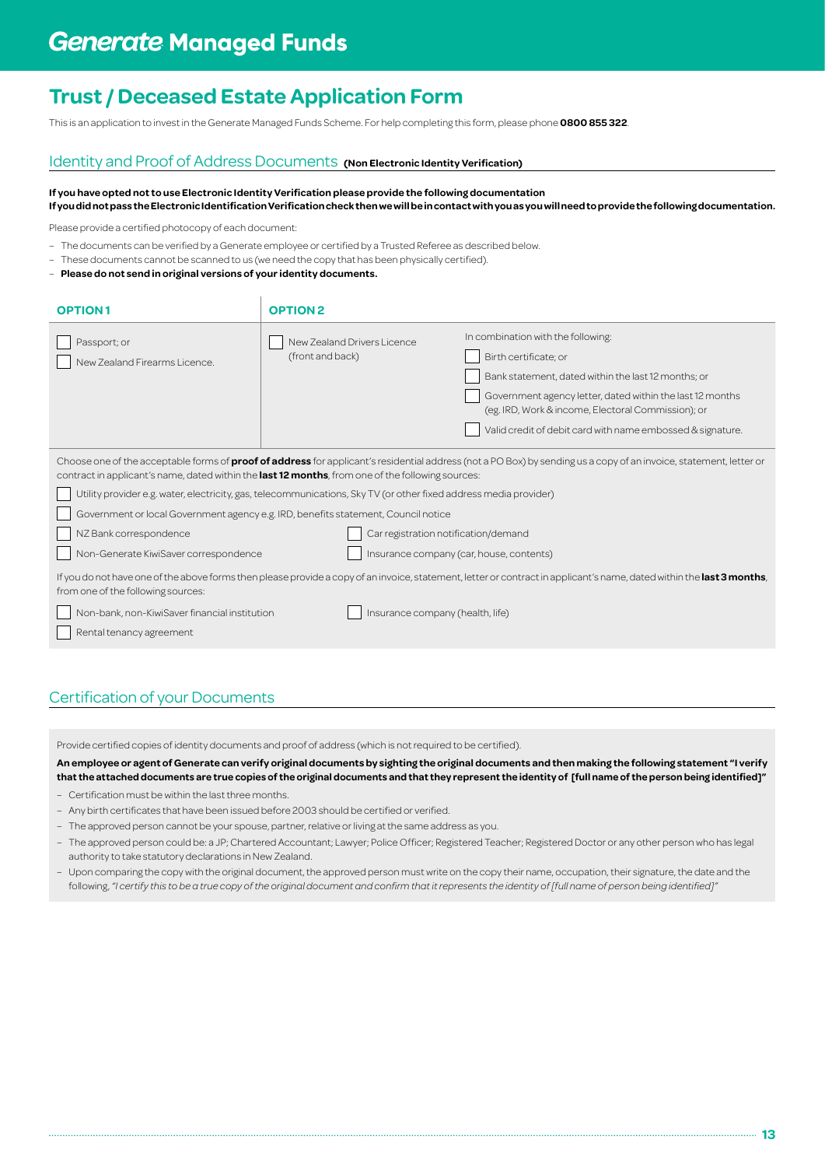This is an application to invest in the Generate Managed Funds Scheme. For help completing this form, please phone **0800 855 322**.

## Identity and Proof of Address Documents **(Non Electronic Identity Verification)**

**If you have opted not to use Electronic Identity Verification please provide the following documentation If you did not pass the Electronic Identification Verification check then we will be in contact with you as you will need to provide the following documentation.**

Please provide a certified photocopy of each document:

- The documents can be verified by a Generate employee or certified by a Trusted Referee as described below.
- These documents cannot be scanned to us (we need the copy that has been physically certified).
- **Please do not send in original versions of your identity documents.**

| In combination with the following:<br>New Zealand Drivers Licence<br>Passport; or<br>(front and back)<br>Birth certificate; or<br>New Zealand Firearms Licence.<br>Bank statement, dated within the last 12 months; or<br>Government agency letter, dated within the last 12 months<br>(eg. IRD, Work & income, Electoral Commission); or<br>Valid credit of debit card with name embossed & signature.<br>Choose one of the acceptable forms of <b>proof of address</b> for applicant's residential address (not a PO Box) by sending us a copy of an invoice, statement, letter or<br>contract in applicant's name, dated within the last 12 months, from one of the following sources:<br>Utility provider e.g. water, electricity, gas, telecommunications, Sky TV (or other fixed address media provider)<br>Government or local Government agency e.g. IRD, benefits statement, Council notice<br>NZ Bank correspondence<br>Car registration notification/demand<br>Non-Generate KiwiSaver correspondence<br>Insurance company (car, house, contents)<br>If you do not have one of the above forms then please provide a copy of an invoice, statement, letter or contract in applicant's name, dated within the last 3 months,<br>from one of the following sources:<br>Non-bank, non-KiwiSaver financial institution<br>Insurance company (health, life)<br>Rental tenancy agreement | <b>OPTION1</b> | <b>OPTION2</b> |  |
|----------------------------------------------------------------------------------------------------------------------------------------------------------------------------------------------------------------------------------------------------------------------------------------------------------------------------------------------------------------------------------------------------------------------------------------------------------------------------------------------------------------------------------------------------------------------------------------------------------------------------------------------------------------------------------------------------------------------------------------------------------------------------------------------------------------------------------------------------------------------------------------------------------------------------------------------------------------------------------------------------------------------------------------------------------------------------------------------------------------------------------------------------------------------------------------------------------------------------------------------------------------------------------------------------------------------------------------------------------------------------------------------|----------------|----------------|--|
|                                                                                                                                                                                                                                                                                                                                                                                                                                                                                                                                                                                                                                                                                                                                                                                                                                                                                                                                                                                                                                                                                                                                                                                                                                                                                                                                                                                              |                |                |  |
|                                                                                                                                                                                                                                                                                                                                                                                                                                                                                                                                                                                                                                                                                                                                                                                                                                                                                                                                                                                                                                                                                                                                                                                                                                                                                                                                                                                              |                |                |  |

## Certification of your Documents

Provide certified copies of identity documents and proof of address (which is not required to be certified).

**An employee or agent of Generate can verify original documents by sighting the original documents and then making the following statement "I verify that the attached documents are true copies of the original documents and that they represent the identity of [full name of the person being identified]"**

- – Certification must be within the last three months.
- Any birth certificates that have been issued before 2003 should be certified or verified.
- The approved person cannot be your spouse, partner, relative or living at the same address as you.
- The approved person could be: a JP; Chartered Accountant; Lawyer; Police Officer; Registered Teacher; Registered Doctor or any other person who has legal authority to take statutory declarations in New Zealand.
- Upon comparing the copy with the original document, the approved person must write on the copy their name, occupation, their signature, the date and the following, *"I certify this to be a true copy of the original document and confirm that it represents the identity of [full name of person being identified]"*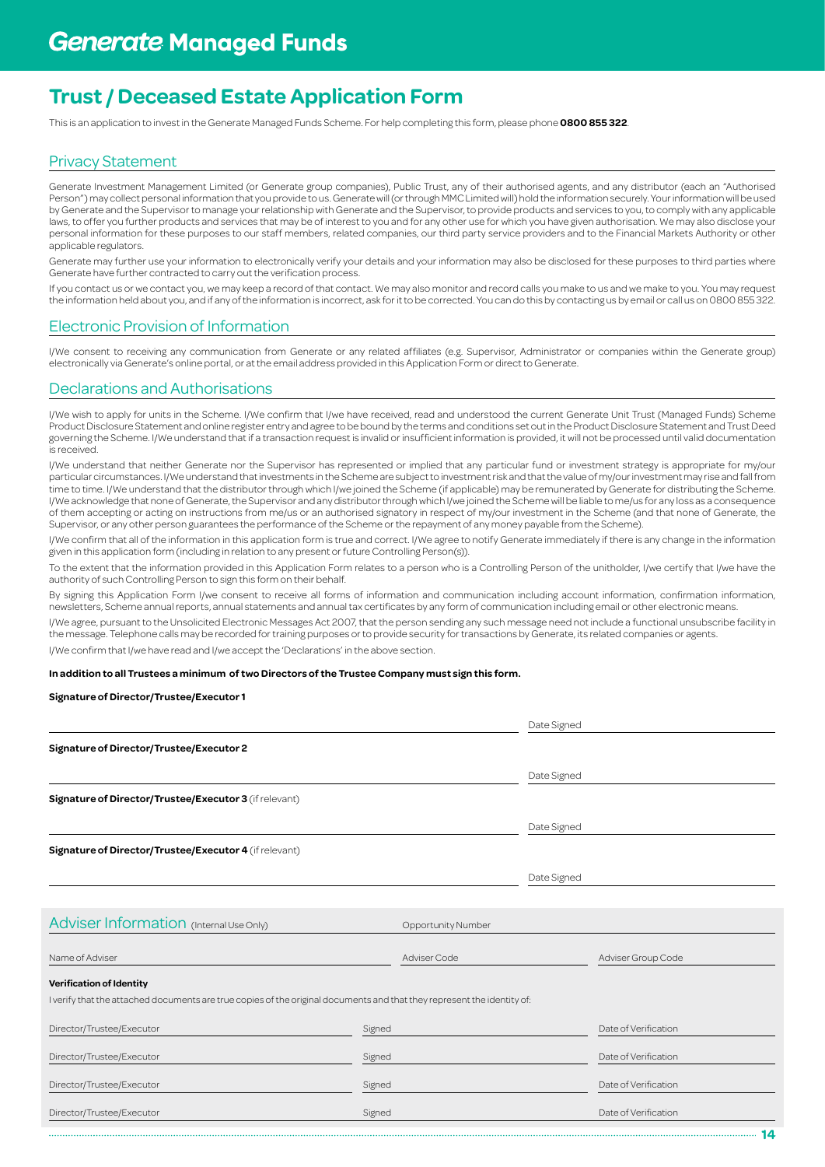This is an application to invest in the Generate Managed Funds Scheme. For help completing this form, please phone **0800 855 322**.

## Privacy Statement

Generate Investment Management Limited (or Generate group companies), Public Trust, any of their authorised agents, and any distributor (each an "Authorised Person") may collect personal information that you provide to us. Generate will (or through MMC Limited will) hold the information securely. Your information will be used by Generate and the Supervisor to manage your relationship with Generate and the Supervisor, to provide products and services to you, to comply with any applicable laws, to offer you further products and services that may be of interest to you and for any other use for which you have given authorisation. We may also disclose your personal information for these purposes to our staff members, related companies, our third party service providers and to the Financial Markets Authority or other applicable regulators.

Generate may further use your information to electronically verify your details and your information may also be disclosed for these purposes to third parties where Generate have further contracted to carry out the verification process.

If you contact us or we contact you, we may keep a record of that contact. We may also monitor and record calls you make to us and we make to you. You may request the information held about you, and if any of the information is incorrect, ask for it to be corrected. You can do this by contacting us by email or call us on 0800 855 322.

## Electronic Provision of Information

I/We consent to receiving any communication from Generate or any related affiliates (e.g. Supervisor, Administrator or companies within the Generate group) electronically via Generate's online portal, or at the email address provided in this Application Form or direct to Generate.

## Declarations and Authorisations

I/We wish to apply for units in the Scheme. I/We confirm that I/we have received, read and understood the current Generate Unit Trust (Managed Funds) Scheme Product Disclosure Statement and online register entry and agree to be bound by the terms and conditions set out in the Product Disclosure Statement and Trust Deed governing the Scheme. I/We understand that if a transaction request is invalid or insufficient information is provided, it will not be processed until valid documentation is received.

I/We understand that neither Generate nor the Supervisor has represented or implied that any particular fund or investment strategy is appropriate for my/our particular circumstances. I/We understand that investments in the Scheme are subject to investment risk and that the value of my/our investment may rise and fall from time to time. I/We understand that the distributor through which I/we joined the Scheme (if applicable) may be remunerated by Generate for distributing the Scheme. I/We acknowledge that none of Generate, the Supervisor and any distributor through which I/we joined the Scheme will be liable to me/us for any loss as a consequence of them accepting or acting on instructions from me/us or an authorised signatory in respect of my/our investment in the Scheme (and that none of Generate, the Supervisor, or any other person guarantees the performance of the Scheme or the repayment of any money payable from the Scheme).

I/We confirm that all of the information in this application form is true and correct. I/We agree to notify Generate immediately if there is any change in the information given in this application form (including in relation to any present or future Controlling Person(s)).

To the extent that the information provided in this Application Form relates to a person who is a Controlling Person of the unitholder, I/we certify that I/we have the authority of such Controlling Person to sign this form on their behalf.

By signing this Application Form I/we consent to receive all forms of information and communication including account information, confirmation information, newsletters, Scheme annual reports, annual statements and annual tax certificates by any form of communication including email or other electronic means.

I/We agree, pursuant to the Unsolicited Electronic Messages Act 2007, that the person sending any such message need not include a functional unsubscribe facility in the message. Telephone calls may be recorded for training purposes or to provide security for transactions by Generate, its related companies or agents.

I/We confirm that I/we have read and I/we accept the 'Declarations' in the above section.

#### **In addition to all Trustees a minimum of two Directors of the Trustee Company must sign this form.**

### **Signature of Director/Trustee/Executor 1**

|                                                                                                                         |        |                           | Date Signed |                      |
|-------------------------------------------------------------------------------------------------------------------------|--------|---------------------------|-------------|----------------------|
| Signature of Director/Trustee/Executor 2                                                                                |        |                           |             |                      |
|                                                                                                                         |        |                           | Date Signed |                      |
| Signature of Director/Trustee/Executor 3 (if relevant)                                                                  |        |                           |             |                      |
|                                                                                                                         |        |                           | Date Signed |                      |
| Signature of Director/Trustee/Executor 4 (if relevant)                                                                  |        |                           |             |                      |
|                                                                                                                         |        |                           | Date Signed |                      |
|                                                                                                                         |        |                           |             |                      |
| Adviser Information (Internal Use Only)                                                                                 |        | <b>Opportunity Number</b> |             |                      |
| Name of Adviser                                                                                                         |        | Adviser Code              |             | Adviser Group Code   |
| <b>Verification of Identity</b>                                                                                         |        |                           |             |                      |
| I verify that the attached documents are true copies of the original documents and that they represent the identity of: |        |                           |             |                      |
| Director/Trustee/Executor                                                                                               | Signed |                           |             | Date of Verification |
| Director/Trustee/Executor                                                                                               | Signed |                           |             | Date of Verification |
| Director/Trustee/Executor                                                                                               | Signed |                           |             | Date of Verification |
| Director/Trustee/Executor                                                                                               | Signed |                           |             | Date of Verification |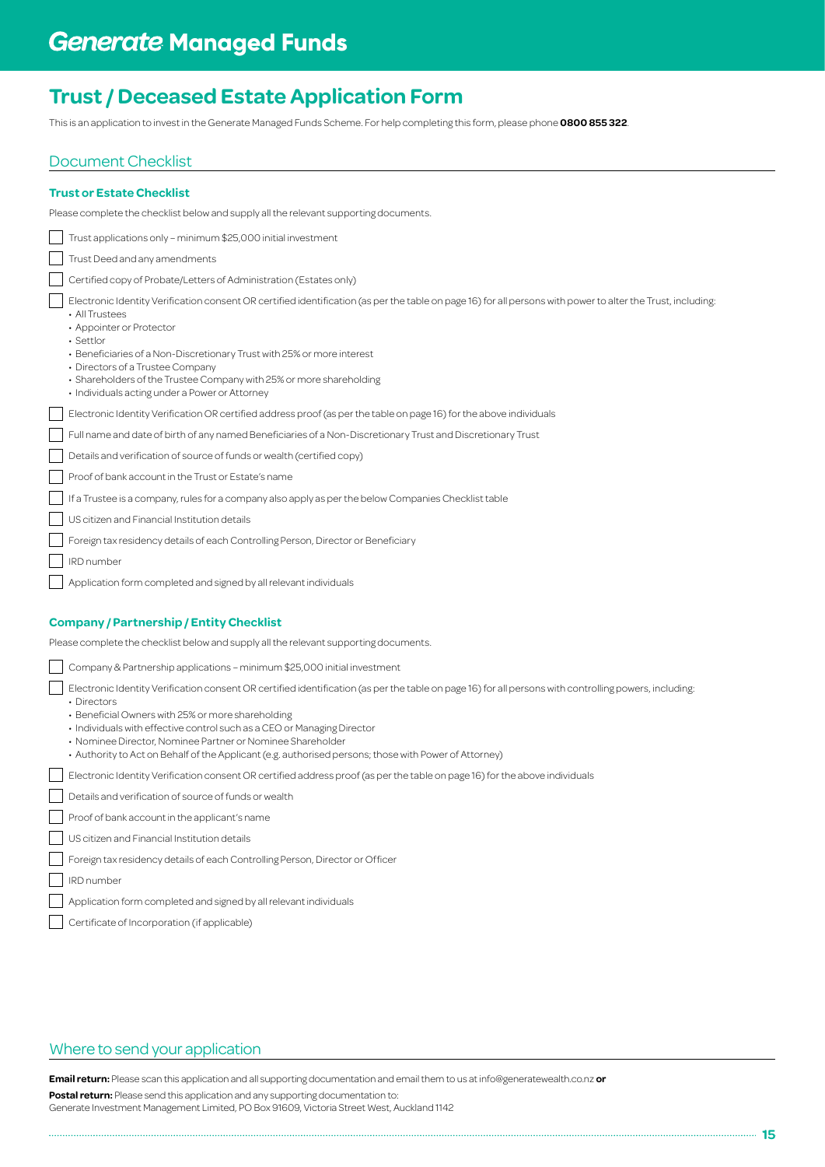This is an application to invest in the Generate Managed Funds Scheme. For help completing this form, please phone **0800 855 322**.

## Document Checklist

| <b>Trust or Estate Checklist</b>                                                                                                                                                                                                                                                                                                                                                                                                                                             |
|------------------------------------------------------------------------------------------------------------------------------------------------------------------------------------------------------------------------------------------------------------------------------------------------------------------------------------------------------------------------------------------------------------------------------------------------------------------------------|
| Please complete the checklist below and supply all the relevant supporting documents.                                                                                                                                                                                                                                                                                                                                                                                        |
| Trust applications only - minimum \$25,000 initial investment                                                                                                                                                                                                                                                                                                                                                                                                                |
| Trust Deed and any amendments                                                                                                                                                                                                                                                                                                                                                                                                                                                |
| Certified copy of Probate/Letters of Administration (Estates only)                                                                                                                                                                                                                                                                                                                                                                                                           |
| Electronic Identity Verification consent OR certified identification (as per the table on page 16) for all persons with power to alter the Trust, including<br>• All Trustees<br>• Appointer or Protector<br>$\cdot$ Settlor<br>• Beneficiaries of a Non-Discretionary Trust with 25% or more interest<br>• Directors of a Trustee Company<br>• Shareholders of the Trustee Company with 25% or more shareholding<br>· Individuals acting under a Power or Attorney          |
| Electronic Identity Verification OR certified address proof (as per the table on page 16) for the above individuals                                                                                                                                                                                                                                                                                                                                                          |
| Full name and date of birth of any named Beneficiaries of a Non-Discretionary Trust and Discretionary Trust                                                                                                                                                                                                                                                                                                                                                                  |
| Details and verification of source of funds or wealth (certified copy)                                                                                                                                                                                                                                                                                                                                                                                                       |
| Proof of bank account in the Trust or Estate's name                                                                                                                                                                                                                                                                                                                                                                                                                          |
| If a Trustee is a company, rules for a company also apply as per the below Companies Checklist table                                                                                                                                                                                                                                                                                                                                                                         |
| US citizen and Financial Institution details                                                                                                                                                                                                                                                                                                                                                                                                                                 |
| Foreign tax residency details of each Controlling Person, Director or Beneficiary                                                                                                                                                                                                                                                                                                                                                                                            |
| IRD number                                                                                                                                                                                                                                                                                                                                                                                                                                                                   |
| Application form completed and signed by all relevant individuals                                                                                                                                                                                                                                                                                                                                                                                                            |
| <b>Company / Partnership / Entity Checklist</b><br>Please complete the checklist below and supply all the relevant supporting documents.                                                                                                                                                                                                                                                                                                                                     |
| Company & Partnership applications - minimum \$25,000 initial investment                                                                                                                                                                                                                                                                                                                                                                                                     |
| Electronic Identity Verification consent OR certified identification (as per the table on page 16) for all persons with controlling powers, including:<br>• Directors<br>• Beneficial Owners with 25% or more shareholding<br>• Individuals with effective control such as a CEO or Managing Director<br>• Nominee Director, Nominee Partner or Nominee Shareholder<br>. Authority to Act on Behalf of the Applicant (e.g. authorised persons; those with Power of Attorney) |
| Electronic Identity Verification consent OR certified address proof (as per the table on page 16) for the above individuals                                                                                                                                                                                                                                                                                                                                                  |
| Details and verification of source of funds or wealth                                                                                                                                                                                                                                                                                                                                                                                                                        |
| Proof of bank account in the applicant's name                                                                                                                                                                                                                                                                                                                                                                                                                                |
| US citizen and Financial Institution details                                                                                                                                                                                                                                                                                                                                                                                                                                 |
| Foreign tax residency details of each Controlling Person, Director or Officer                                                                                                                                                                                                                                                                                                                                                                                                |
| IRD number                                                                                                                                                                                                                                                                                                                                                                                                                                                                   |

- $\lceil$ Application form completed and signed by all relevant individuals
- Certificate of Incorporation (if applicable)

## Where to send your application

**Email return:** Please scan this application and all supporting documentation and email them to us at info@generatewealth.co.nz **or**

**Postal return:** Please send this application and any supporting documentation to:

Generate Investment Management Limited, PO Box 91609, Victoria Street West, Auckland 1142